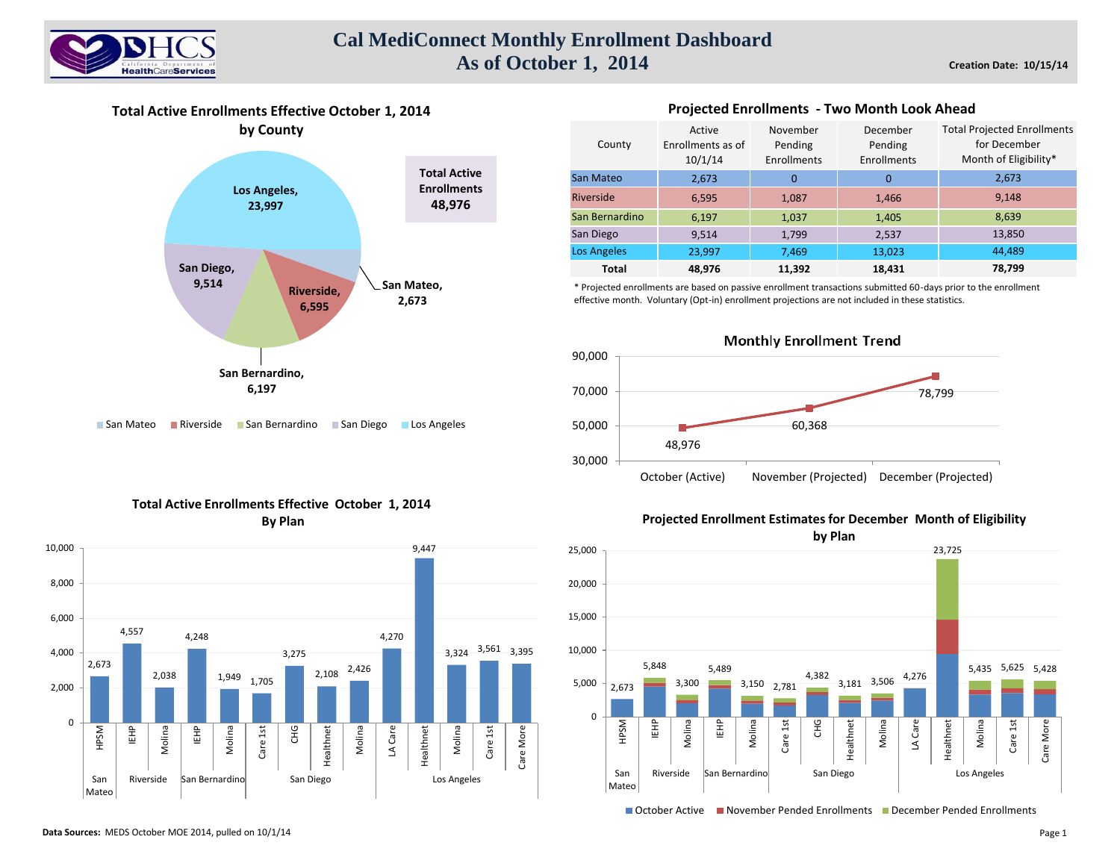

## **Cal MediConnect Monthly Enrollment Dashboard As of October 1, 2014**

**Total Active Enrollments Effective October 1, 2014 by County**



■ San Mateo ■ Riverside ■ San Bernardino ■ San Diego ■ Los Angeles

| County             | Active<br>Enrollments as of<br>10/1/14 | November<br>Pending<br>Enrollments | December<br>Pending<br>Enrollments | <b>Total Projected Enrollments</b><br>for December<br>Month of Eligibility* |
|--------------------|----------------------------------------|------------------------------------|------------------------------------|-----------------------------------------------------------------------------|
| San Mateo          | 2,673                                  | $\Omega$                           | $\Omega$                           | 2,673                                                                       |
| <b>Riverside</b>   | 6,595                                  | 1,087                              | 1,466                              | 9,148                                                                       |
| San Bernardino     | 6,197                                  | 1,037                              | 1,405                              | 8,639                                                                       |
| San Diego          | 9,514                                  | 1,799                              | 2,537                              | 13,850                                                                      |
| <b>Los Angeles</b> | 23,997                                 | 7,469                              | 13,023                             | 44,489                                                                      |
| <b>Total</b>       | 48.976                                 | 11,392                             | 18,431                             | 78,799                                                                      |

**Projected Enrollments - Two Month Look Ahead** 

\* Projected enrollments are based on passive enrollment transactions submitted 60-days prior to the enrollment effective month. Voluntary (Opt-in) enrollment projections are not included in these statistics.



### **Total Active Enrollments Effective October 1, 2014 By Plan**



### **Projected Enrollment Estimates for December Month of Eligibility**



October Active November Pended Enrollments December Pended Enrollments